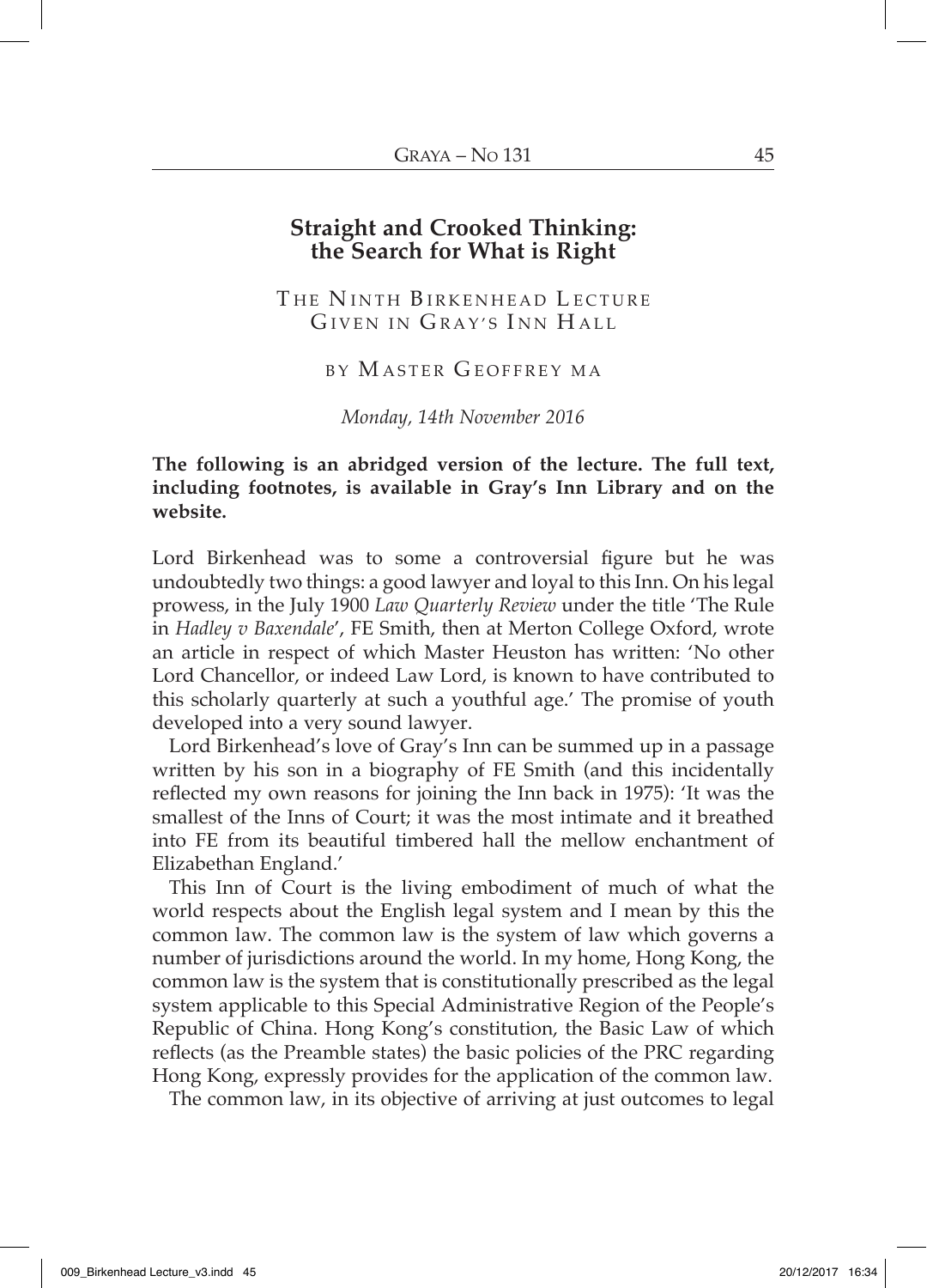## **Straight and Crooked Thinking: the Search for What is Right**

THE NINTH BIRKENHEAD LECTURE GIVEN IN GRAY'S INN HALL

BY M ASTER G EOFFREY MA

*Monday, 14th November 2016*

## **The following is an abridged version of the lecture. The full text, including footnotes, is available in Gray's Inn Library and on the website.**

Lord Birkenhead was to some a controversial figure but he was undoubtedly two things: a good lawyer and loyal to this Inn. On his legal prowess, in the July 1900 *Law Quarterly Review* under the title 'The Rule in *Hadley v Baxendale*', FE Smith, then at Merton College Oxford, wrote an article in respect of which Master Heuston has written: 'No other Lord Chancellor, or indeed Law Lord, is known to have contributed to this scholarly quarterly at such a youthful age.' The promise of youth developed into a very sound lawyer.

Lord Birkenhead's love of Gray's Inn can be summed up in a passage written by his son in a biography of FE Smith (and this incidentally reflected my own reasons for joining the Inn back in 1975): 'It was the smallest of the Inns of Court; it was the most intimate and it breathed into FE from its beautiful timbered hall the mellow enchantment of Elizabethan England.'

This Inn of Court is the living embodiment of much of what the world respects about the English legal system and I mean by this the common law. The common law is the system of law which governs a number of jurisdictions around the world. In my home, Hong Kong, the common law is the system that is constitutionally prescribed as the legal system applicable to this Special Administrative Region of the People's Republic of China. Hong Kong's constitution, the Basic Law of which reflects (as the Preamble states) the basic policies of the PRC regarding Hong Kong, expressly provides for the application of the common law.

The common law, in its objective of arriving at just outcomes to legal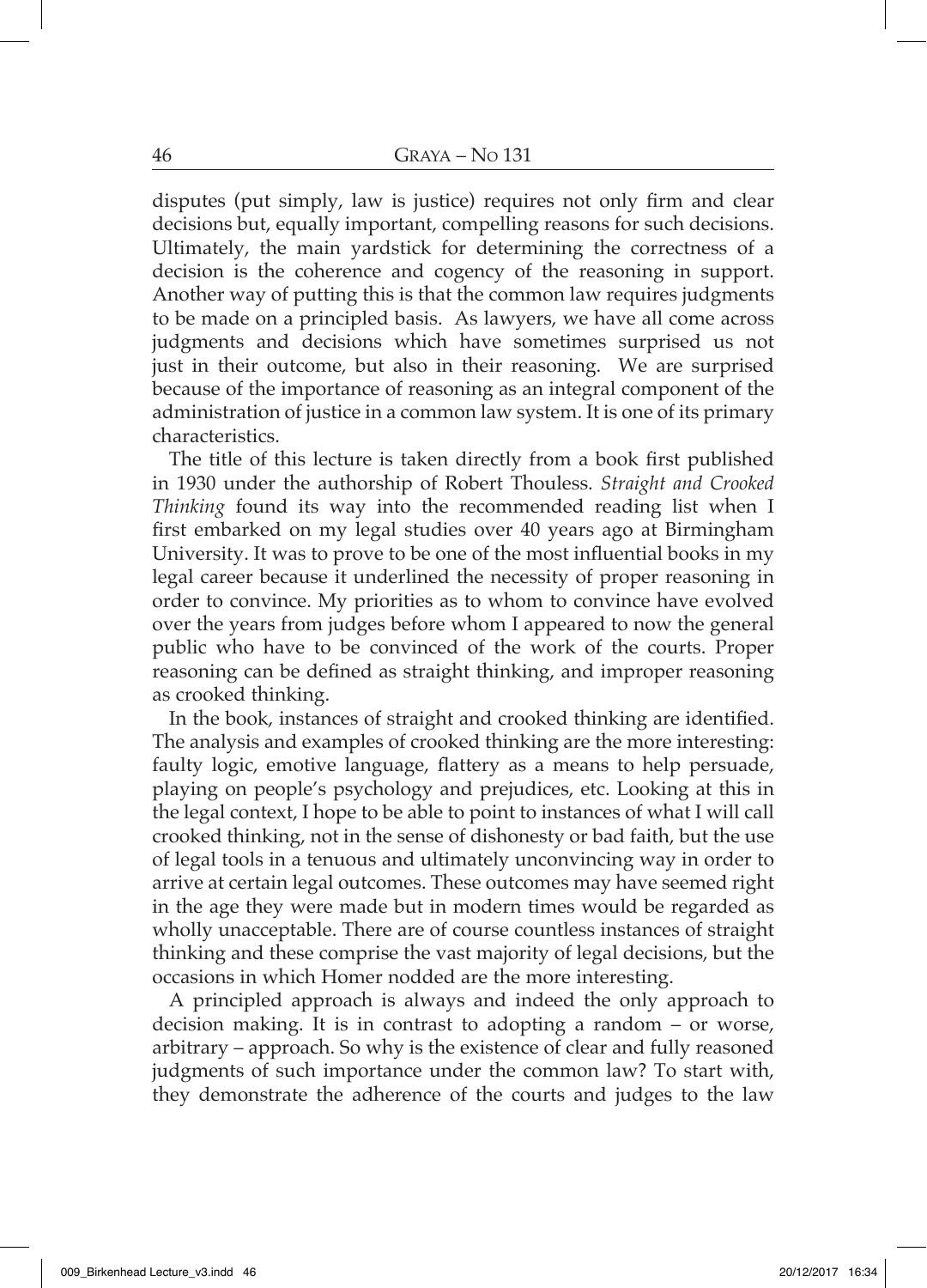disputes (put simply, law is justice) requires not only firm and clear decisions but, equally important, compelling reasons for such decisions. Ultimately, the main yardstick for determining the correctness of a decision is the coherence and cogency of the reasoning in support. Another way of putting this is that the common law requires judgments to be made on a principled basis. As lawyers, we have all come across judgments and decisions which have sometimes surprised us not just in their outcome, but also in their reasoning. We are surprised because of the importance of reasoning as an integral component of the administration of justice in a common law system. It is one of its primary characteristics.

The title of this lecture is taken directly from a book first published in 1930 under the authorship of Robert Thouless. *Straight and Crooked Thinking* found its way into the recommended reading list when I first embarked on my legal studies over 40 years ago at Birmingham University. It was to prove to be one of the most influential books in my legal career because it underlined the necessity of proper reasoning in order to convince. My priorities as to whom to convince have evolved over the years from judges before whom I appeared to now the general public who have to be convinced of the work of the courts. Proper reasoning can be defined as straight thinking, and improper reasoning as crooked thinking.

In the book, instances of straight and crooked thinking are identified. The analysis and examples of crooked thinking are the more interesting: faulty logic, emotive language, flattery as a means to help persuade, playing on people's psychology and prejudices, etc. Looking at this in the legal context, I hope to be able to point to instances of what I will call crooked thinking, not in the sense of dishonesty or bad faith, but the use of legal tools in a tenuous and ultimately unconvincing way in order to arrive at certain legal outcomes. These outcomes may have seemed right in the age they were made but in modern times would be regarded as wholly unacceptable. There are of course countless instances of straight thinking and these comprise the vast majority of legal decisions, but the occasions in which Homer nodded are the more interesting.

A principled approach is always and indeed the only approach to decision making. It is in contrast to adopting a random – or worse, arbitrary – approach. So why is the existence of clear and fully reasoned judgments of such importance under the common law? To start with, they demonstrate the adherence of the courts and judges to the law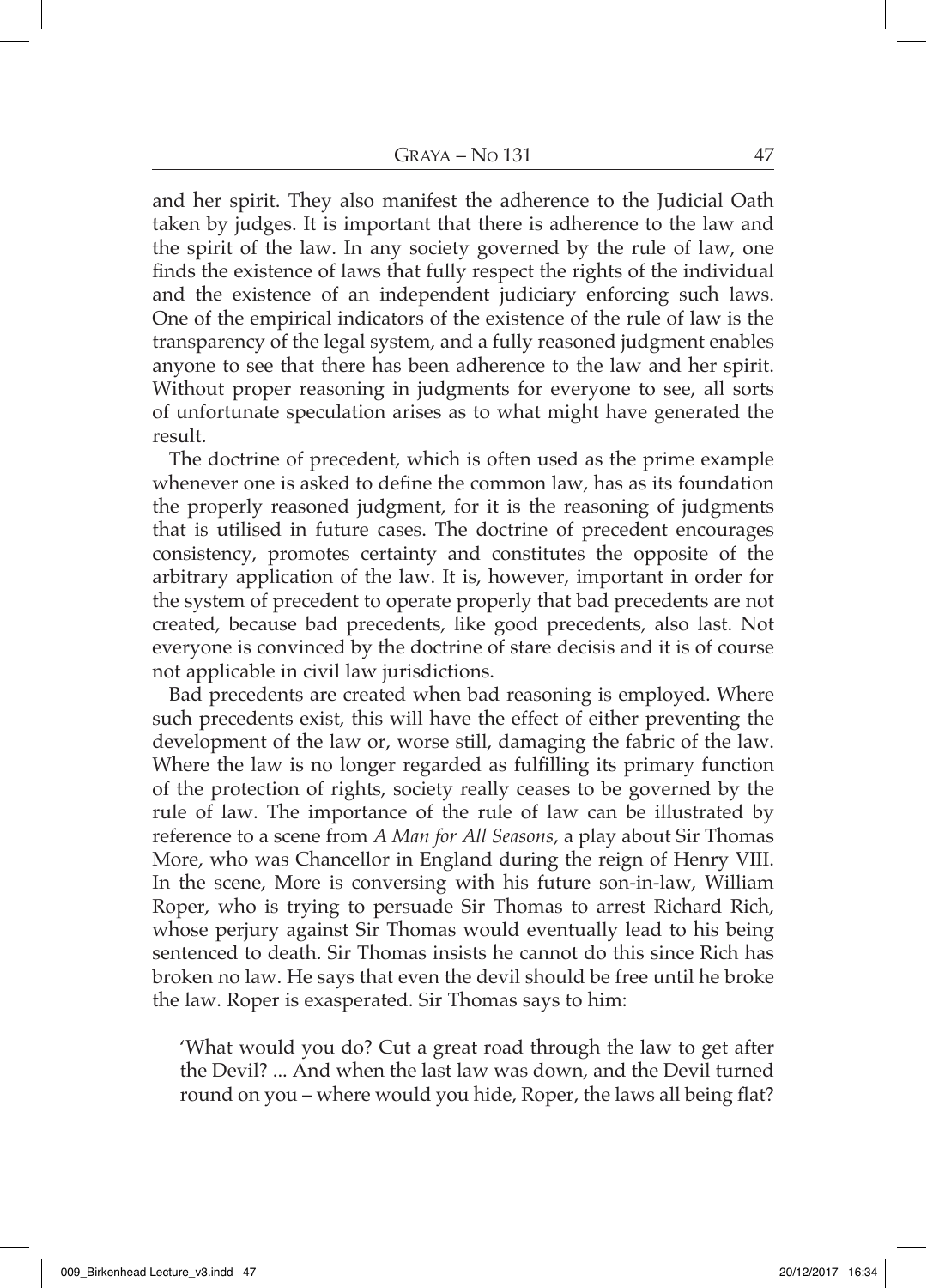and her spirit. They also manifest the adherence to the Judicial Oath taken by judges. It is important that there is adherence to the law and the spirit of the law. In any society governed by the rule of law, one finds the existence of laws that fully respect the rights of the individual and the existence of an independent judiciary enforcing such laws. One of the empirical indicators of the existence of the rule of law is the transparency of the legal system, and a fully reasoned judgment enables anyone to see that there has been adherence to the law and her spirit. Without proper reasoning in judgments for everyone to see, all sorts of unfortunate speculation arises as to what might have generated the result.

The doctrine of precedent, which is often used as the prime example whenever one is asked to define the common law, has as its foundation the properly reasoned judgment, for it is the reasoning of judgments that is utilised in future cases. The doctrine of precedent encourages consistency, promotes certainty and constitutes the opposite of the arbitrary application of the law. It is, however, important in order for the system of precedent to operate properly that bad precedents are not created, because bad precedents, like good precedents, also last. Not everyone is convinced by the doctrine of stare decisis and it is of course not applicable in civil law jurisdictions.

Bad precedents are created when bad reasoning is employed. Where such precedents exist, this will have the effect of either preventing the development of the law or, worse still, damaging the fabric of the law. Where the law is no longer regarded as fulfilling its primary function of the protection of rights, society really ceases to be governed by the rule of law. The importance of the rule of law can be illustrated by reference to a scene from *A Man for All Seasons*, a play about Sir Thomas More, who was Chancellor in England during the reign of Henry VIII. In the scene, More is conversing with his future son-in-law, William Roper, who is trying to persuade Sir Thomas to arrest Richard Rich, whose perjury against Sir Thomas would eventually lead to his being sentenced to death. Sir Thomas insists he cannot do this since Rich has broken no law. He says that even the devil should be free until he broke the law. Roper is exasperated. Sir Thomas says to him:

'What would you do? Cut a great road through the law to get after the Devil? ... And when the last law was down, and the Devil turned round on you – where would you hide, Roper, the laws all being flat?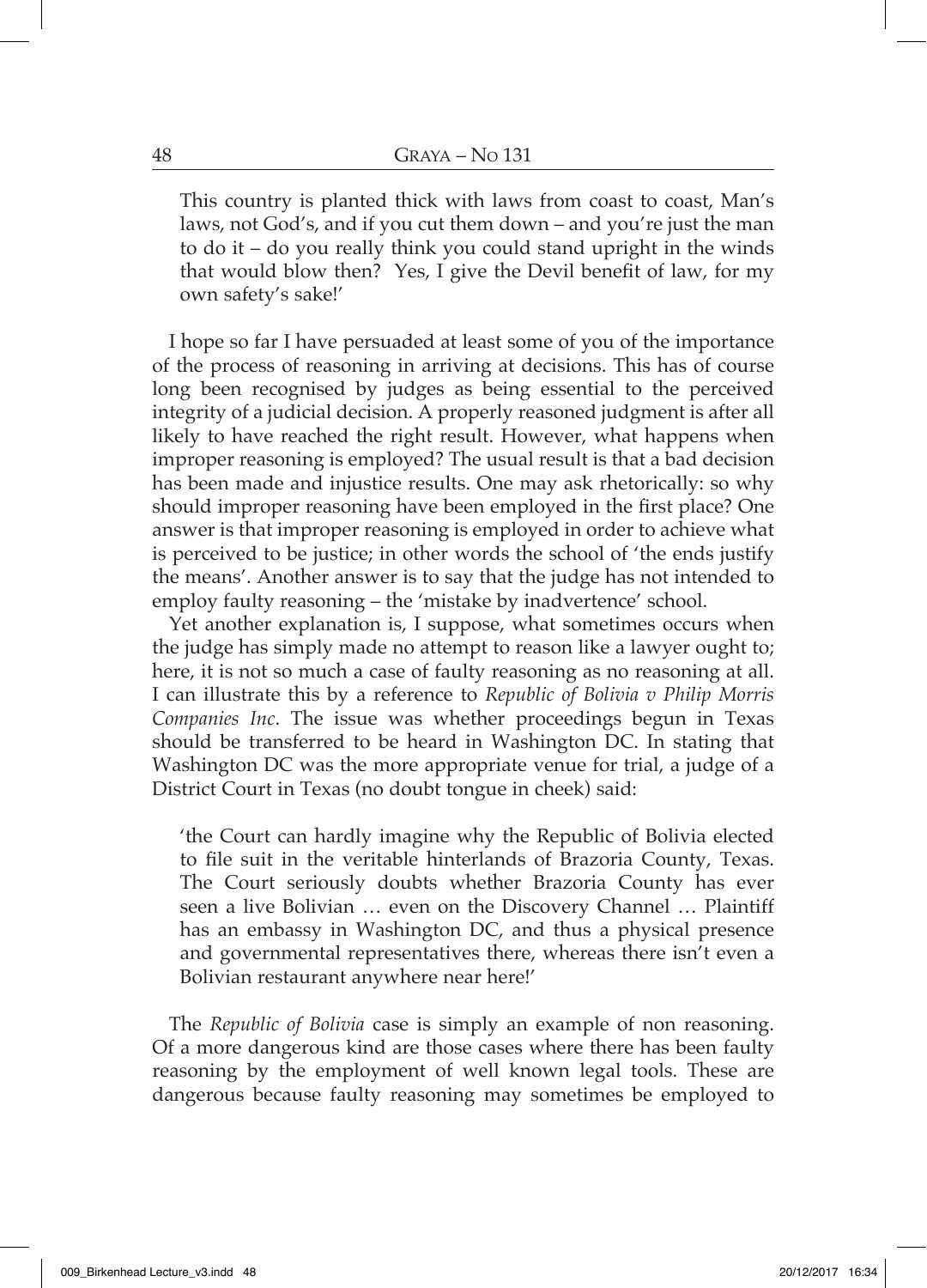This country is planted thick with laws from coast to coast, Man's laws, not God's, and if you cut them down – and you're just the man to do it – do you really think you could stand upright in the winds that would blow then? Yes, I give the Devil benefit of law, for my own safety's sake!'

I hope so far I have persuaded at least some of you of the importance of the process of reasoning in arriving at decisions. This has of course long been recognised by judges as being essential to the perceived integrity of a judicial decision. A properly reasoned judgment is after all likely to have reached the right result. However, what happens when improper reasoning is employed? The usual result is that a bad decision has been made and injustice results. One may ask rhetorically: so why should improper reasoning have been employed in the first place? One answer is that improper reasoning is employed in order to achieve what is perceived to be justice; in other words the school of 'the ends justify the means'. Another answer is to say that the judge has not intended to employ faulty reasoning – the 'mistake by inadvertence' school.

Yet another explanation is, I suppose, what sometimes occurs when the judge has simply made no attempt to reason like a lawyer ought to; here, it is not so much a case of faulty reasoning as no reasoning at all. I can illustrate this by a reference to *Republic of Bolivia v Philip Morris Companies Inc*. The issue was whether proceedings begun in Texas should be transferred to be heard in Washington DC. In stating that Washington DC was the more appropriate venue for trial, a judge of a District Court in Texas (no doubt tongue in cheek) said:

'the Court can hardly imagine why the Republic of Bolivia elected to file suit in the veritable hinterlands of Brazoria County, Texas. The Court seriously doubts whether Brazoria County has ever seen a live Bolivian … even on the Discovery Channel … Plaintiff has an embassy in Washington DC, and thus a physical presence and governmental representatives there, whereas there isn't even a Bolivian restaurant anywhere near here!'

The *Republic of Bolivia* case is simply an example of non reasoning. Of a more dangerous kind are those cases where there has been faulty reasoning by the employment of well known legal tools. These are dangerous because faulty reasoning may sometimes be employed to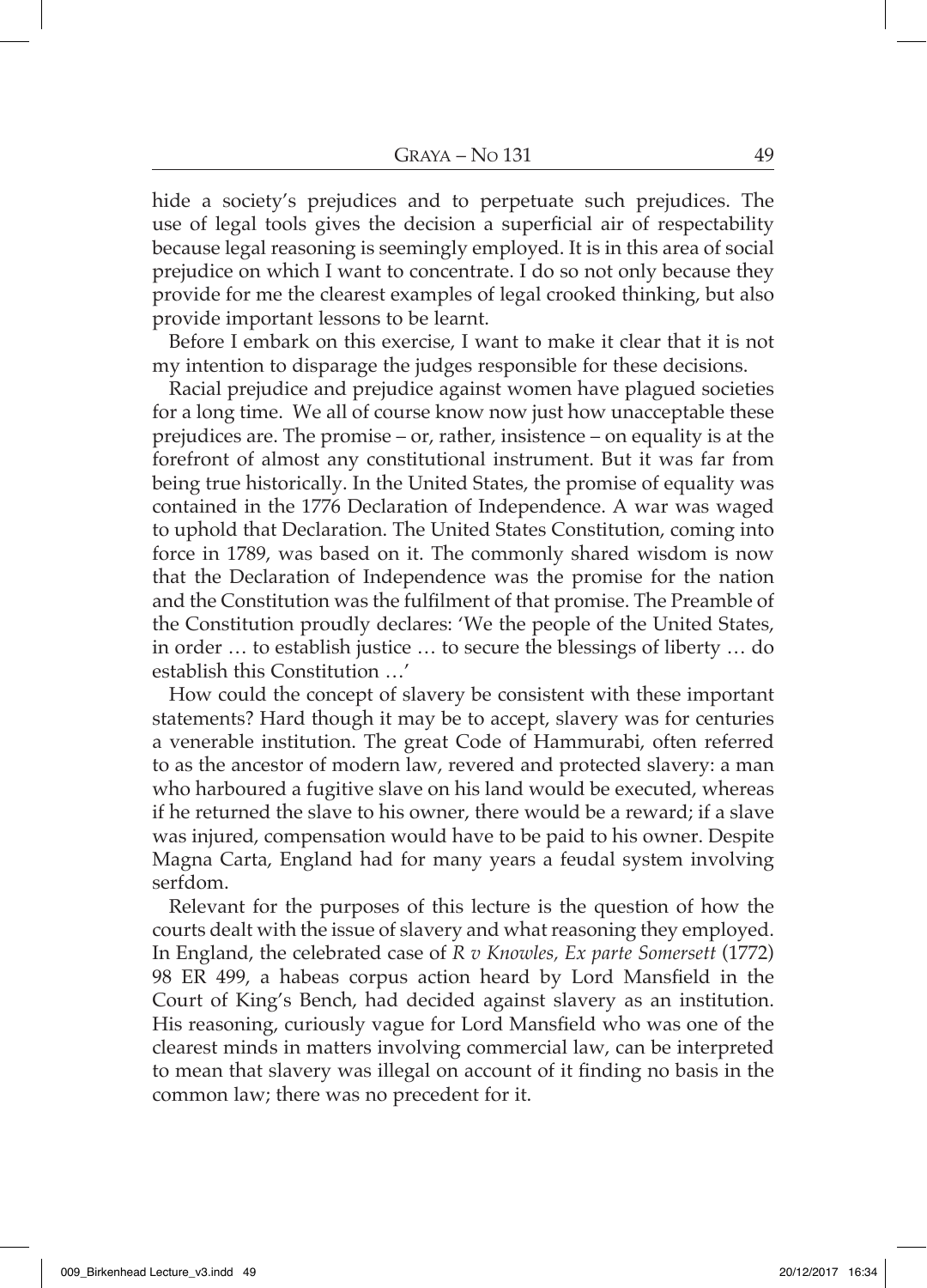hide a society's prejudices and to perpetuate such prejudices. The use of legal tools gives the decision a superficial air of respectability because legal reasoning is seemingly employed. It is in this area of social prejudice on which I want to concentrate. I do so not only because they provide for me the clearest examples of legal crooked thinking, but also provide important lessons to be learnt.

Before I embark on this exercise, I want to make it clear that it is not my intention to disparage the judges responsible for these decisions.

Racial prejudice and prejudice against women have plagued societies for a long time. We all of course know now just how unacceptable these prejudices are. The promise – or, rather, insistence – on equality is at the forefront of almost any constitutional instrument. But it was far from being true historically. In the United States, the promise of equality was contained in the 1776 Declaration of Independence. A war was waged to uphold that Declaration. The United States Constitution, coming into force in 1789, was based on it. The commonly shared wisdom is now that the Declaration of Independence was the promise for the nation and the Constitution was the fulfilment of that promise. The Preamble of the Constitution proudly declares: 'We the people of the United States, in order … to establish justice … to secure the blessings of liberty … do establish this Constitution …'

How could the concept of slavery be consistent with these important statements? Hard though it may be to accept, slavery was for centuries a venerable institution. The great Code of Hammurabi, often referred to as the ancestor of modern law, revered and protected slavery: a man who harboured a fugitive slave on his land would be executed, whereas if he returned the slave to his owner, there would be a reward; if a slave was injured, compensation would have to be paid to his owner. Despite Magna Carta, England had for many years a feudal system involving serfdom.

Relevant for the purposes of this lecture is the question of how the courts dealt with the issue of slavery and what reasoning they employed. In England, the celebrated case of *R v Knowles, Ex parte Somersett* (1772) 98 ER 499, a habeas corpus action heard by Lord Mansfield in the Court of King's Bench, had decided against slavery as an institution. His reasoning, curiously vague for Lord Mansfield who was one of the clearest minds in matters involving commercial law, can be interpreted to mean that slavery was illegal on account of it finding no basis in the common law; there was no precedent for it.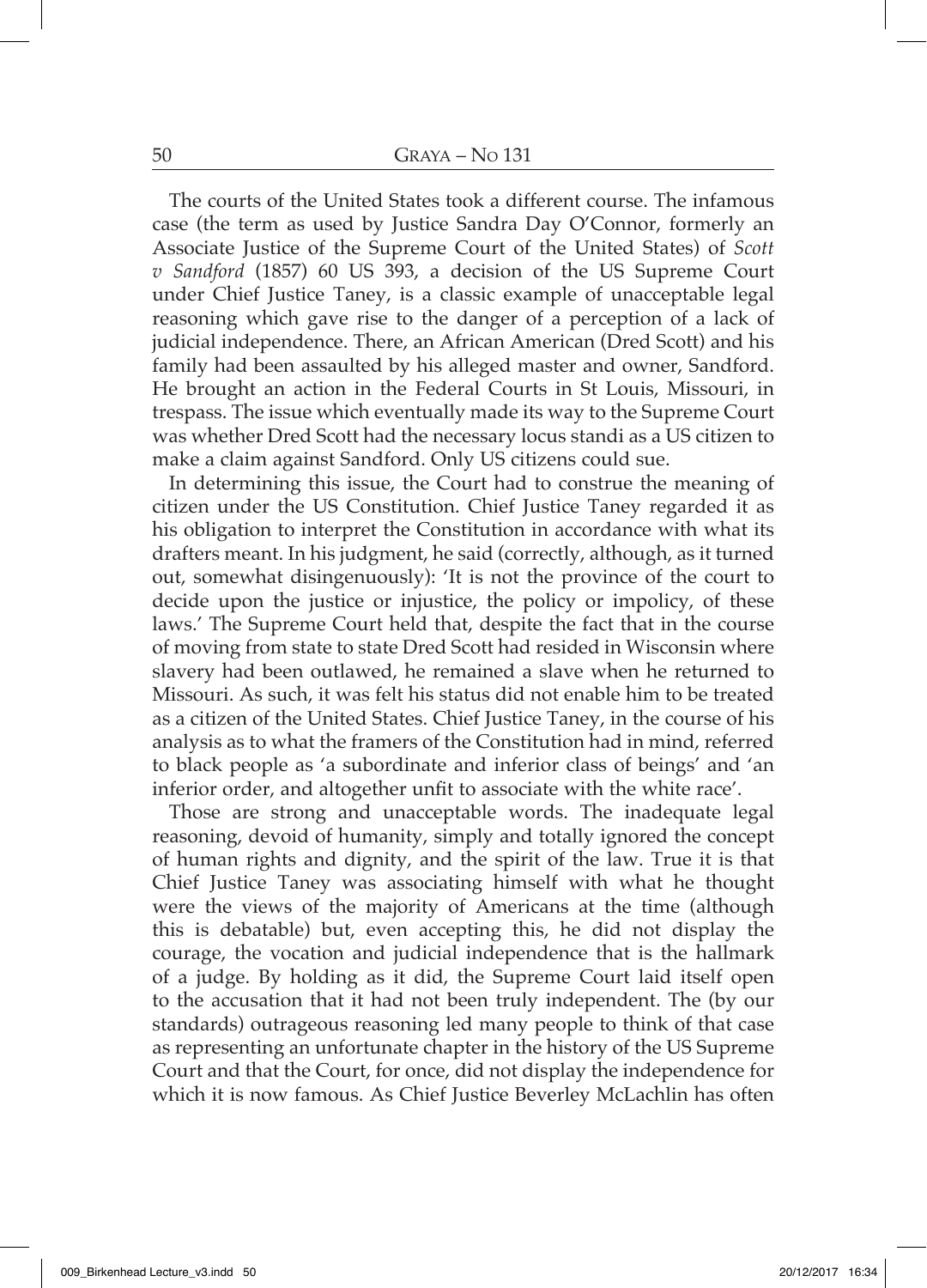The courts of the United States took a different course. The infamous case (the term as used by Justice Sandra Day O'Connor, formerly an Associate Justice of the Supreme Court of the United States) of *Scott v Sandford* (1857) 60 US 393, a decision of the US Supreme Court under Chief Justice Taney, is a classic example of unacceptable legal reasoning which gave rise to the danger of a perception of a lack of judicial independence. There, an African American (Dred Scott) and his family had been assaulted by his alleged master and owner, Sandford. He brought an action in the Federal Courts in St Louis, Missouri, in trespass. The issue which eventually made its way to the Supreme Court was whether Dred Scott had the necessary locus standi as a US citizen to make a claim against Sandford. Only US citizens could sue.

In determining this issue, the Court had to construe the meaning of citizen under the US Constitution. Chief Justice Taney regarded it as his obligation to interpret the Constitution in accordance with what its drafters meant. In his judgment, he said (correctly, although, as it turned out, somewhat disingenuously): 'It is not the province of the court to decide upon the justice or injustice, the policy or impolicy, of these laws.' The Supreme Court held that, despite the fact that in the course of moving from state to state Dred Scott had resided in Wisconsin where slavery had been outlawed, he remained a slave when he returned to Missouri. As such, it was felt his status did not enable him to be treated as a citizen of the United States. Chief Justice Taney, in the course of his analysis as to what the framers of the Constitution had in mind, referred to black people as 'a subordinate and inferior class of beings' and 'an inferior order, and altogether unfit to associate with the white race'.

Those are strong and unacceptable words. The inadequate legal reasoning, devoid of humanity, simply and totally ignored the concept of human rights and dignity, and the spirit of the law. True it is that Chief Justice Taney was associating himself with what he thought were the views of the majority of Americans at the time (although this is debatable) but, even accepting this, he did not display the courage, the vocation and judicial independence that is the hallmark of a judge. By holding as it did, the Supreme Court laid itself open to the accusation that it had not been truly independent. The (by our standards) outrageous reasoning led many people to think of that case as representing an unfortunate chapter in the history of the US Supreme Court and that the Court, for once, did not display the independence for which it is now famous. As Chief Justice Beverley McLachlin has often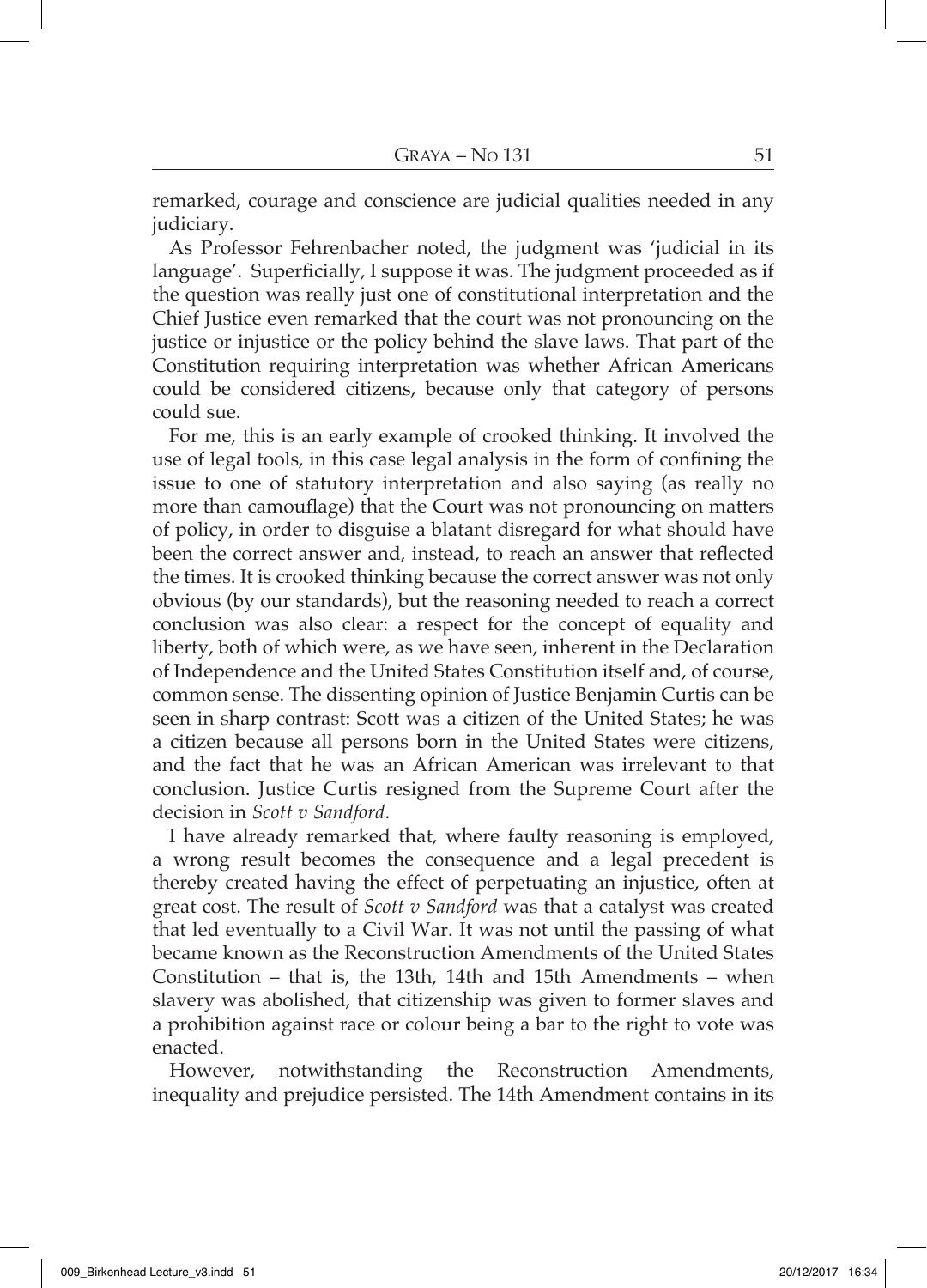remarked, courage and conscience are judicial qualities needed in any judiciary.

As Professor Fehrenbacher noted, the judgment was 'judicial in its language'. Superficially, I suppose it was. The judgment proceeded as if the question was really just one of constitutional interpretation and the Chief Justice even remarked that the court was not pronouncing on the justice or injustice or the policy behind the slave laws. That part of the Constitution requiring interpretation was whether African Americans could be considered citizens, because only that category of persons could sue.

For me, this is an early example of crooked thinking. It involved the use of legal tools, in this case legal analysis in the form of confining the issue to one of statutory interpretation and also saying (as really no more than camouflage) that the Court was not pronouncing on matters of policy, in order to disguise a blatant disregard for what should have been the correct answer and, instead, to reach an answer that reflected the times. It is crooked thinking because the correct answer was not only obvious (by our standards), but the reasoning needed to reach a correct conclusion was also clear: a respect for the concept of equality and liberty, both of which were, as we have seen, inherent in the Declaration of Independence and the United States Constitution itself and, of course, common sense. The dissenting opinion of Justice Benjamin Curtis can be seen in sharp contrast: Scott was a citizen of the United States; he was a citizen because all persons born in the United States were citizens, and the fact that he was an African American was irrelevant to that conclusion. Justice Curtis resigned from the Supreme Court after the decision in *Scott v Sandford*.

I have already remarked that, where faulty reasoning is employed, a wrong result becomes the consequence and a legal precedent is thereby created having the effect of perpetuating an injustice, often at great cost. The result of *Scott v Sandford* was that a catalyst was created that led eventually to a Civil War. It was not until the passing of what became known as the Reconstruction Amendments of the United States Constitution – that is, the 13th, 14th and 15th Amendments – when slavery was abolished, that citizenship was given to former slaves and a prohibition against race or colour being a bar to the right to vote was enacted.

However, notwithstanding the Reconstruction Amendments, inequality and prejudice persisted. The 14th Amendment contains in its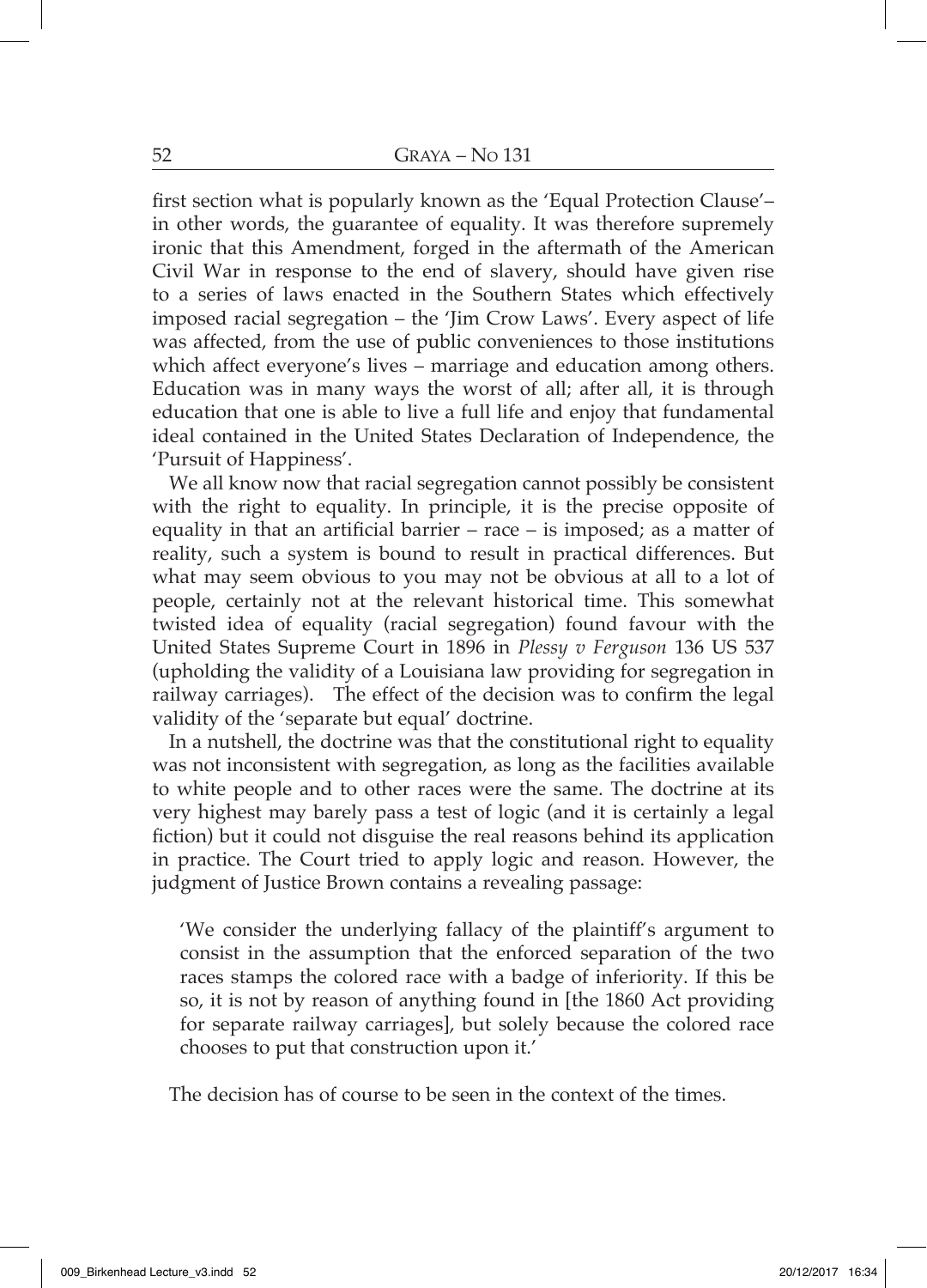first section what is popularly known as the 'Equal Protection Clause'– in other words, the guarantee of equality. It was therefore supremely ironic that this Amendment, forged in the aftermath of the American Civil War in response to the end of slavery, should have given rise to a series of laws enacted in the Southern States which effectively imposed racial segregation – the 'Jim Crow Laws'. Every aspect of life was affected, from the use of public conveniences to those institutions which affect everyone's lives – marriage and education among others. Education was in many ways the worst of all; after all, it is through education that one is able to live a full life and enjoy that fundamental ideal contained in the United States Declaration of Independence, the 'Pursuit of Happiness'.

We all know now that racial segregation cannot possibly be consistent with the right to equality. In principle, it is the precise opposite of equality in that an artificial barrier – race – is imposed; as a matter of reality, such a system is bound to result in practical differences. But what may seem obvious to you may not be obvious at all to a lot of people, certainly not at the relevant historical time. This somewhat twisted idea of equality (racial segregation) found favour with the United States Supreme Court in 1896 in *Plessy v Ferguson* 136 US 537 (upholding the validity of a Louisiana law providing for segregation in railway carriages). The effect of the decision was to confirm the legal validity of the 'separate but equal' doctrine.

In a nutshell, the doctrine was that the constitutional right to equality was not inconsistent with segregation, as long as the facilities available to white people and to other races were the same. The doctrine at its very highest may barely pass a test of logic (and it is certainly a legal fiction) but it could not disguise the real reasons behind its application in practice. The Court tried to apply logic and reason. However, the judgment of Justice Brown contains a revealing passage:

'We consider the underlying fallacy of the plaintiff's argument to consist in the assumption that the enforced separation of the two races stamps the colored race with a badge of inferiority. If this be so, it is not by reason of anything found in [the 1860 Act providing for separate railway carriages], but solely because the colored race chooses to put that construction upon it.'

The decision has of course to be seen in the context of the times.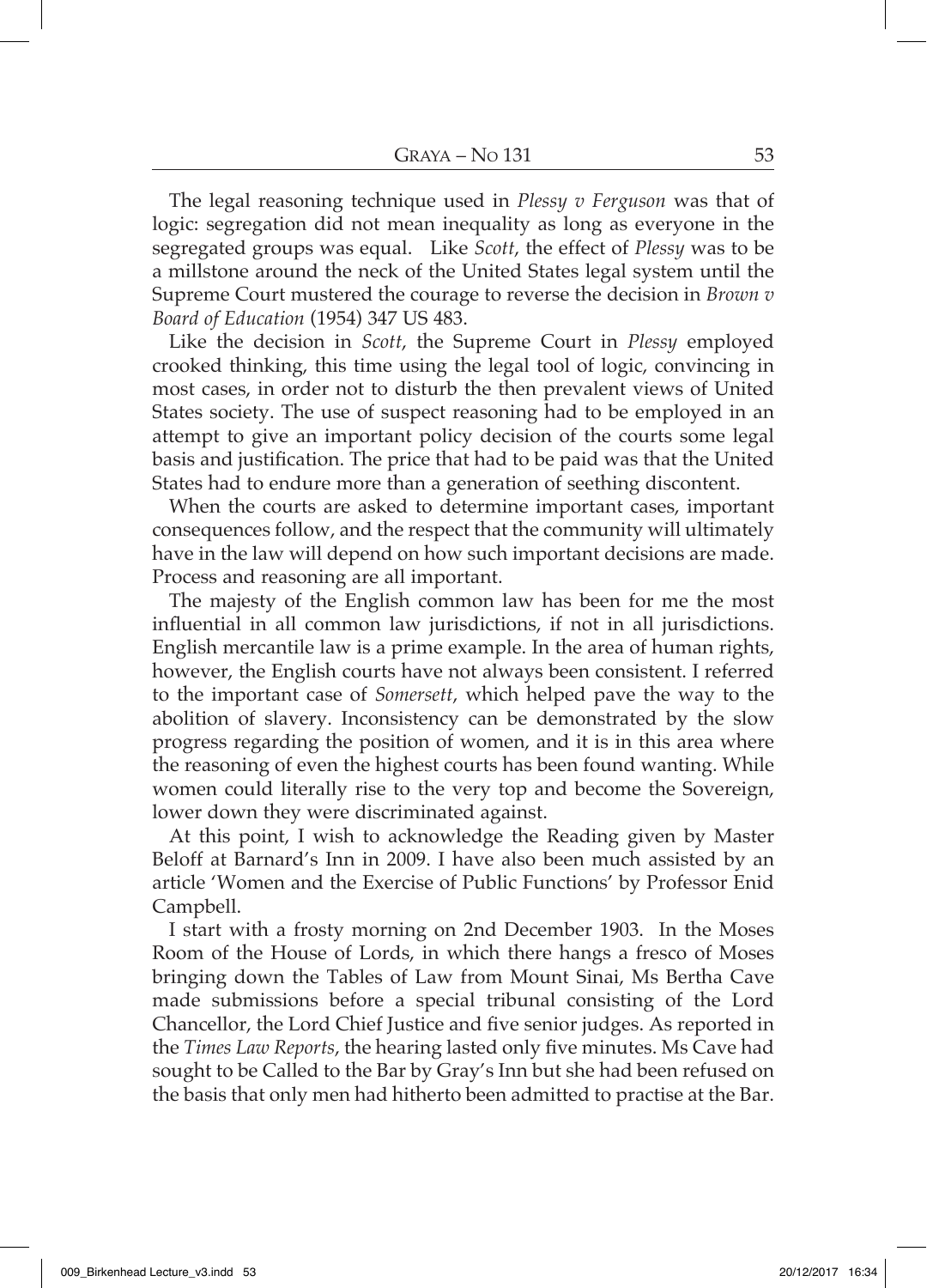The legal reasoning technique used in *Plessy v Ferguson* was that of logic: segregation did not mean inequality as long as everyone in the segregated groups was equal. Like *Scott*, the effect of *Plessy* was to be a millstone around the neck of the United States legal system until the Supreme Court mustered the courage to reverse the decision in *Brown v Board of Education* (1954) 347 US 483.

Like the decision in *Scott*, the Supreme Court in *Plessy* employed crooked thinking, this time using the legal tool of logic, convincing in most cases, in order not to disturb the then prevalent views of United States society. The use of suspect reasoning had to be employed in an attempt to give an important policy decision of the courts some legal basis and justification. The price that had to be paid was that the United States had to endure more than a generation of seething discontent.

When the courts are asked to determine important cases, important consequences follow, and the respect that the community will ultimately have in the law will depend on how such important decisions are made. Process and reasoning are all important.

The majesty of the English common law has been for me the most influential in all common law jurisdictions, if not in all jurisdictions. English mercantile law is a prime example. In the area of human rights, however, the English courts have not always been consistent. I referred to the important case of *Somersett*, which helped pave the way to the abolition of slavery. Inconsistency can be demonstrated by the slow progress regarding the position of women, and it is in this area where the reasoning of even the highest courts has been found wanting. While women could literally rise to the very top and become the Sovereign, lower down they were discriminated against.

At this point, I wish to acknowledge the Reading given by Master Beloff at Barnard's Inn in 2009. I have also been much assisted by an article 'Women and the Exercise of Public Functions' by Professor Enid Campbell.

I start with a frosty morning on 2nd December 1903. In the Moses Room of the House of Lords, in which there hangs a fresco of Moses bringing down the Tables of Law from Mount Sinai, Ms Bertha Cave made submissions before a special tribunal consisting of the Lord Chancellor, the Lord Chief Justice and five senior judges. As reported in the *Times Law Reports*, the hearing lasted only five minutes. Ms Cave had sought to be Called to the Bar by Gray's Inn but she had been refused on the basis that only men had hitherto been admitted to practise at the Bar.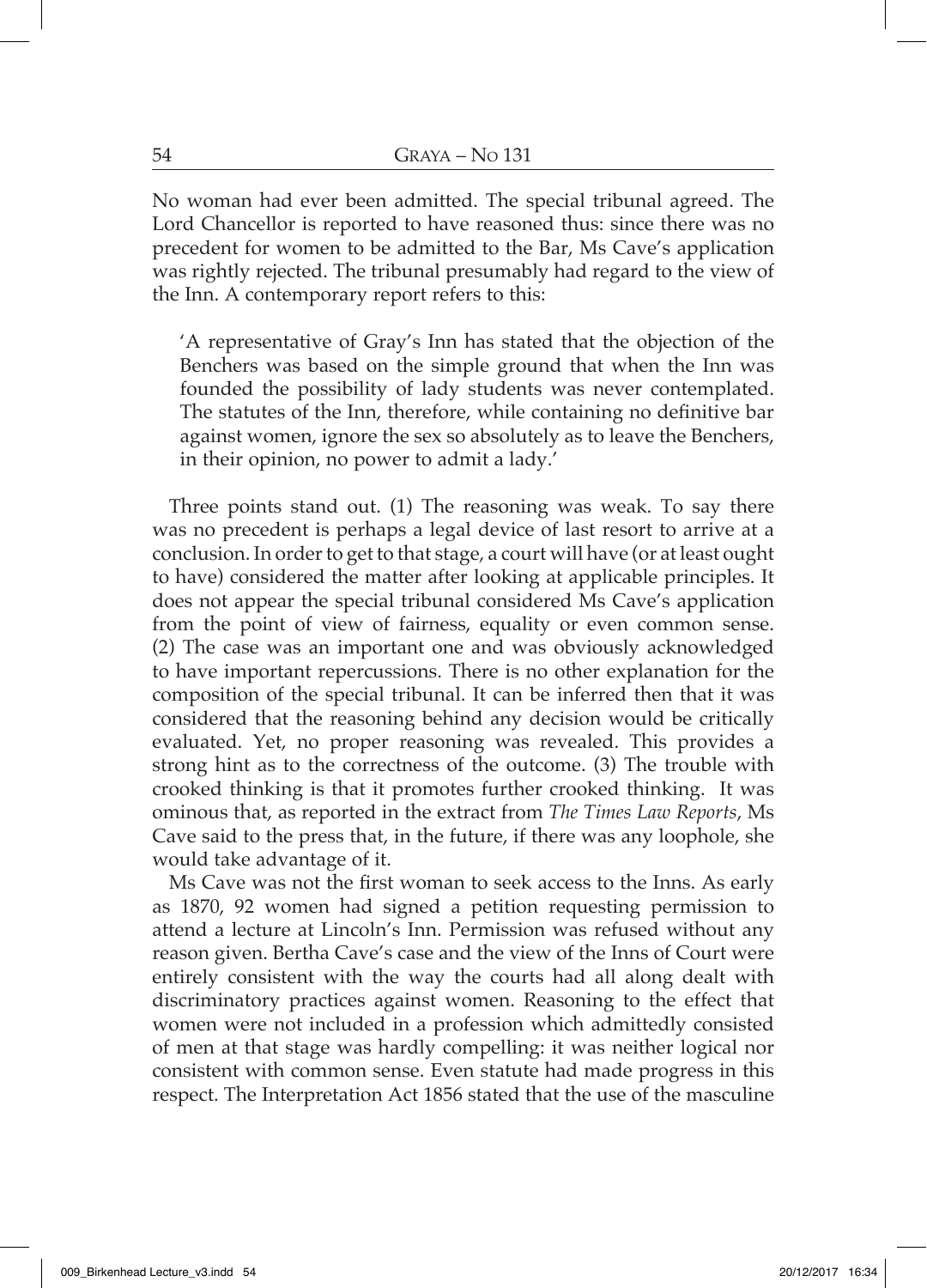No woman had ever been admitted. The special tribunal agreed. The Lord Chancellor is reported to have reasoned thus: since there was no precedent for women to be admitted to the Bar, Ms Cave's application was rightly rejected. The tribunal presumably had regard to the view of the Inn. A contemporary report refers to this:

'A representative of Gray's Inn has stated that the objection of the Benchers was based on the simple ground that when the Inn was founded the possibility of lady students was never contemplated. The statutes of the Inn, therefore, while containing no definitive bar against women, ignore the sex so absolutely as to leave the Benchers, in their opinion, no power to admit a lady.'

Three points stand out. (1) The reasoning was weak. To say there was no precedent is perhaps a legal device of last resort to arrive at a conclusion. In order to get to that stage, a court will have (or at least ought to have) considered the matter after looking at applicable principles. It does not appear the special tribunal considered Ms Cave's application from the point of view of fairness, equality or even common sense. (2) The case was an important one and was obviously acknowledged to have important repercussions. There is no other explanation for the composition of the special tribunal. It can be inferred then that it was considered that the reasoning behind any decision would be critically evaluated. Yet, no proper reasoning was revealed. This provides a strong hint as to the correctness of the outcome. (3) The trouble with crooked thinking is that it promotes further crooked thinking. It was ominous that, as reported in the extract from *The Times Law Reports*, Ms Cave said to the press that, in the future, if there was any loophole, she would take advantage of it.

Ms Cave was not the first woman to seek access to the Inns. As early as 1870, 92 women had signed a petition requesting permission to attend a lecture at Lincoln's Inn. Permission was refused without any reason given. Bertha Cave's case and the view of the Inns of Court were entirely consistent with the way the courts had all along dealt with discriminatory practices against women. Reasoning to the effect that women were not included in a profession which admittedly consisted of men at that stage was hardly compelling: it was neither logical nor consistent with common sense. Even statute had made progress in this respect. The Interpretation Act 1856 stated that the use of the masculine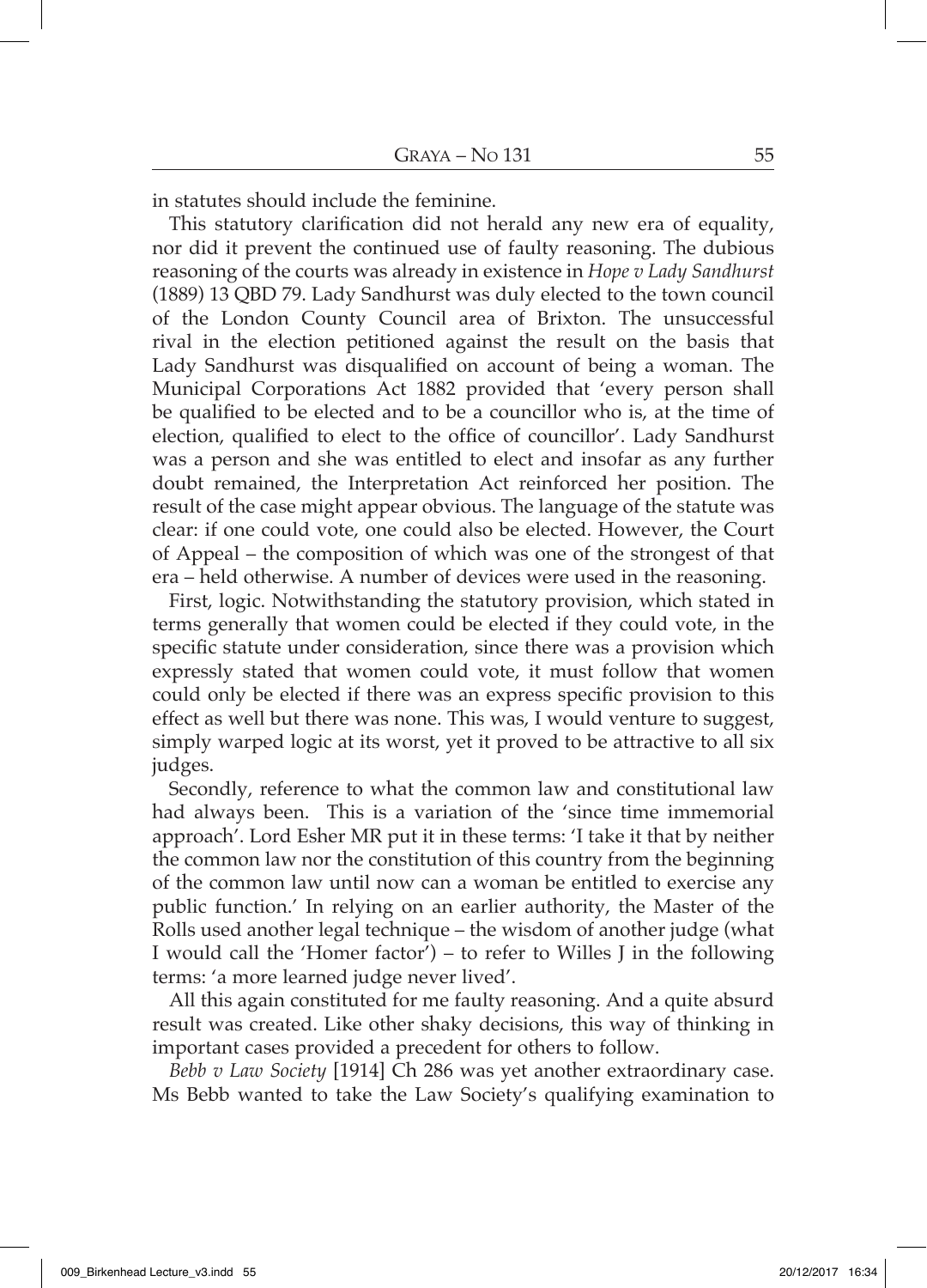in statutes should include the feminine.

This statutory clarification did not herald any new era of equality, nor did it prevent the continued use of faulty reasoning. The dubious reasoning of the courts was already in existence in *Hope v Lady Sandhurst* (1889) 13 QBD 79. Lady Sandhurst was duly elected to the town council of the London County Council area of Brixton. The unsuccessful rival in the election petitioned against the result on the basis that Lady Sandhurst was disqualified on account of being a woman. The Municipal Corporations Act 1882 provided that 'every person shall be qualified to be elected and to be a councillor who is, at the time of election, qualified to elect to the office of councillor'. Lady Sandhurst was a person and she was entitled to elect and insofar as any further doubt remained, the Interpretation Act reinforced her position. The result of the case might appear obvious. The language of the statute was clear: if one could vote, one could also be elected. However, the Court of Appeal – the composition of which was one of the strongest of that era – held otherwise. A number of devices were used in the reasoning.

First, logic. Notwithstanding the statutory provision, which stated in terms generally that women could be elected if they could vote, in the specific statute under consideration, since there was a provision which expressly stated that women could vote, it must follow that women could only be elected if there was an express specific provision to this effect as well but there was none. This was, I would venture to suggest, simply warped logic at its worst, yet it proved to be attractive to all six judges.

Secondly, reference to what the common law and constitutional law had always been. This is a variation of the 'since time immemorial approach'. Lord Esher MR put it in these terms: 'I take it that by neither the common law nor the constitution of this country from the beginning of the common law until now can a woman be entitled to exercise any public function.' In relying on an earlier authority, the Master of the Rolls used another legal technique – the wisdom of another judge (what I would call the 'Homer factor') – to refer to Willes J in the following terms: 'a more learned judge never lived'.

All this again constituted for me faulty reasoning. And a quite absurd result was created. Like other shaky decisions, this way of thinking in important cases provided a precedent for others to follow.

*Bebb v Law Society* [1914] Ch 286 was yet another extraordinary case. Ms Bebb wanted to take the Law Society's qualifying examination to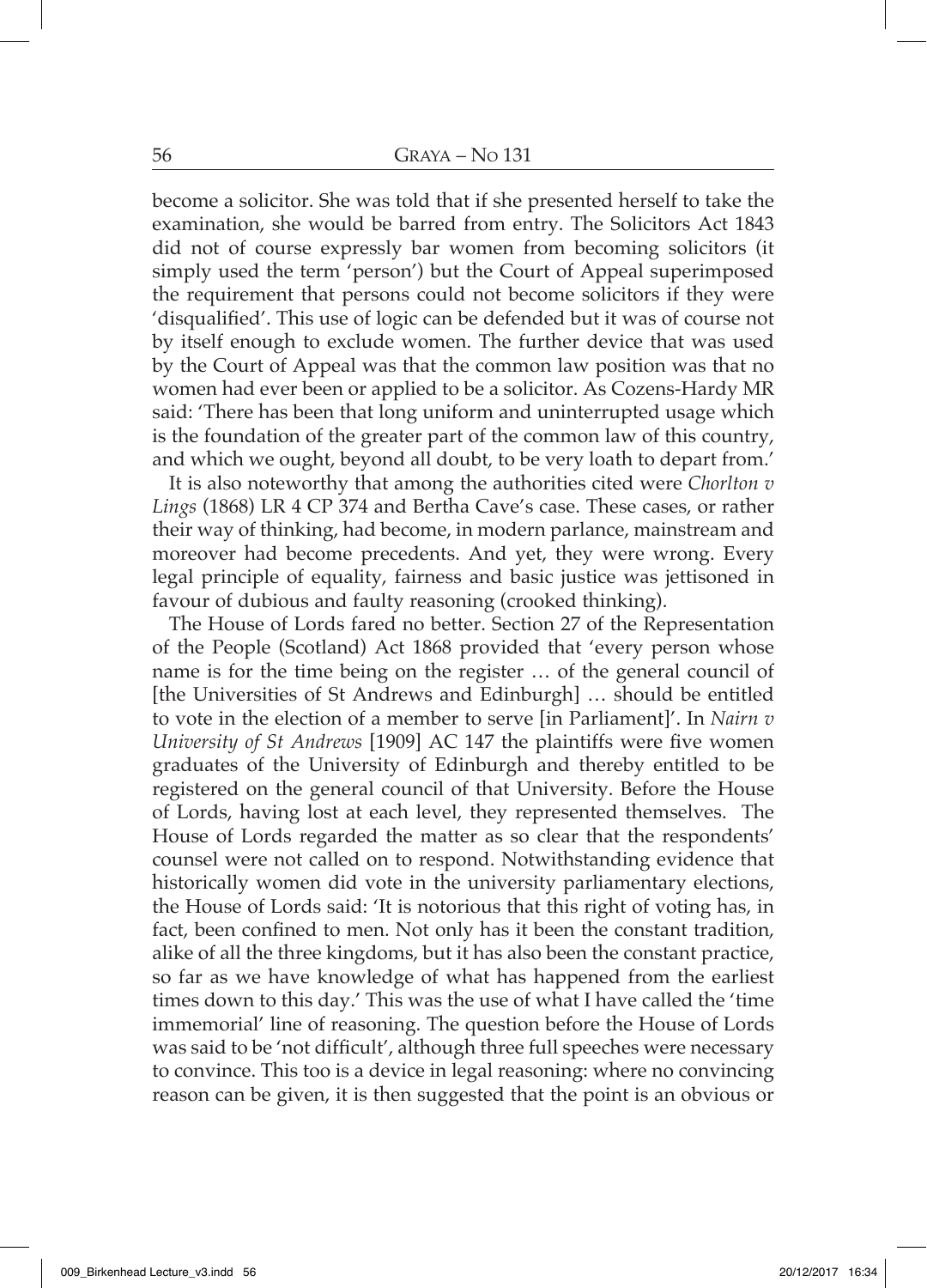become a solicitor. She was told that if she presented herself to take the examination, she would be barred from entry. The Solicitors Act 1843 did not of course expressly bar women from becoming solicitors (it simply used the term 'person') but the Court of Appeal superimposed the requirement that persons could not become solicitors if they were 'disqualified'. This use of logic can be defended but it was of course not by itself enough to exclude women. The further device that was used by the Court of Appeal was that the common law position was that no women had ever been or applied to be a solicitor. As Cozens-Hardy MR said: 'There has been that long uniform and uninterrupted usage which is the foundation of the greater part of the common law of this country, and which we ought, beyond all doubt, to be very loath to depart from.'

It is also noteworthy that among the authorities cited were *Chorlton v Lings* (1868) LR 4 CP 374 and Bertha Cave's case. These cases, or rather their way of thinking, had become, in modern parlance, mainstream and moreover had become precedents. And yet, they were wrong. Every legal principle of equality, fairness and basic justice was jettisoned in favour of dubious and faulty reasoning (crooked thinking).

The House of Lords fared no better. Section 27 of the Representation of the People (Scotland) Act 1868 provided that 'every person whose name is for the time being on the register … of the general council of [the Universities of St Andrews and Edinburgh] … should be entitled to vote in the election of a member to serve [in Parliament]'. In *Nairn v University of St Andrews* [1909] AC 147 the plaintiffs were five women graduates of the University of Edinburgh and thereby entitled to be registered on the general council of that University. Before the House of Lords, having lost at each level, they represented themselves. The House of Lords regarded the matter as so clear that the respondents' counsel were not called on to respond. Notwithstanding evidence that historically women did vote in the university parliamentary elections, the House of Lords said: 'It is notorious that this right of voting has, in fact, been confined to men. Not only has it been the constant tradition, alike of all the three kingdoms, but it has also been the constant practice, so far as we have knowledge of what has happened from the earliest times down to this day.' This was the use of what I have called the 'time immemorial' line of reasoning. The question before the House of Lords was said to be 'not difficult', although three full speeches were necessary to convince. This too is a device in legal reasoning: where no convincing reason can be given, it is then suggested that the point is an obvious or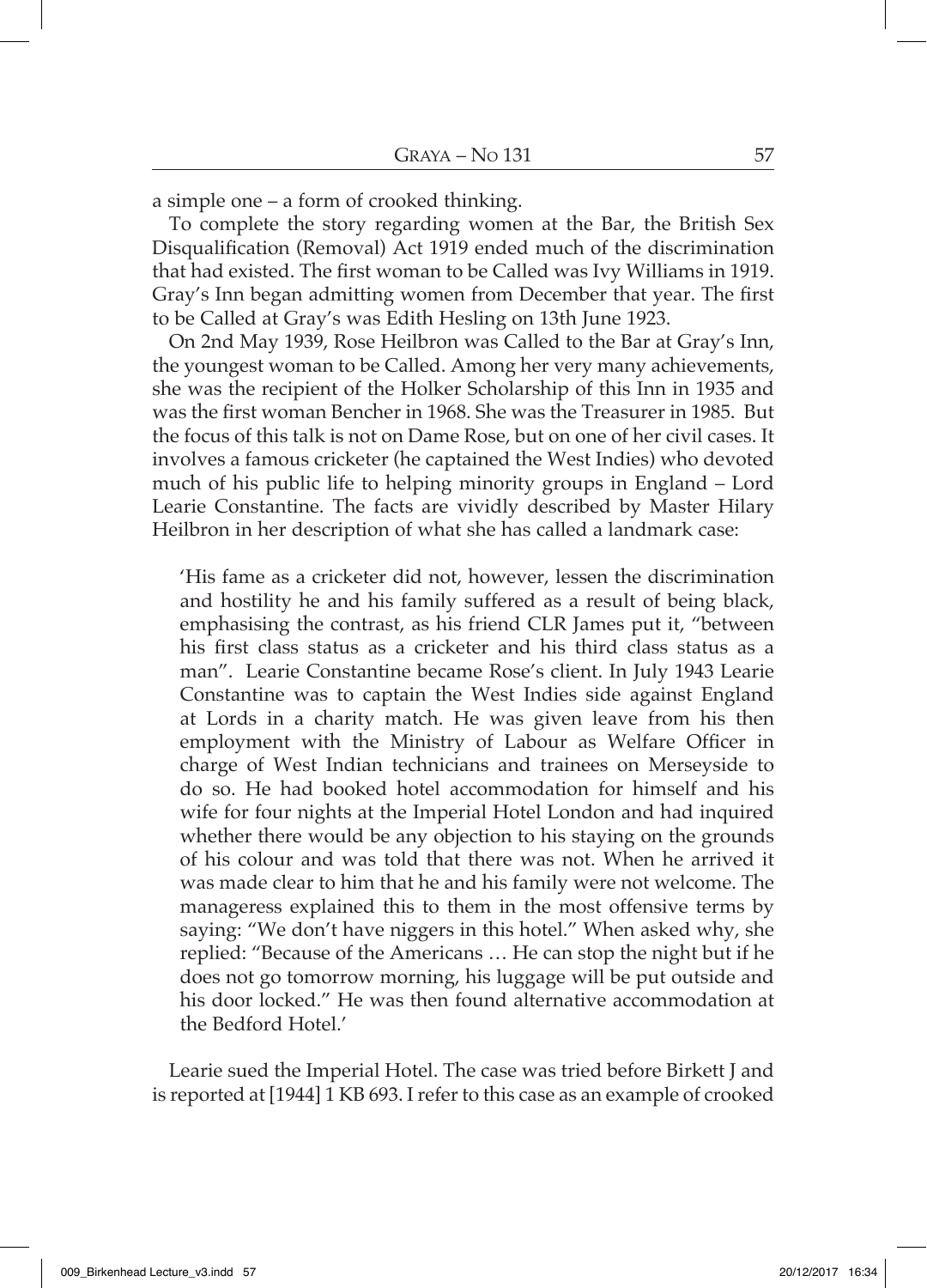a simple one – a form of crooked thinking.

To complete the story regarding women at the Bar, the British Sex Disqualification (Removal) Act 1919 ended much of the discrimination that had existed. The first woman to be Called was Ivy Williams in 1919. Gray's Inn began admitting women from December that year. The first to be Called at Gray's was Edith Hesling on 13th June 1923.

On 2nd May 1939, Rose Heilbron was Called to the Bar at Gray's Inn, the youngest woman to be Called. Among her very many achievements, she was the recipient of the Holker Scholarship of this Inn in 1935 and was the first woman Bencher in 1968. She was the Treasurer in 1985. But the focus of this talk is not on Dame Rose, but on one of her civil cases. It involves a famous cricketer (he captained the West Indies) who devoted much of his public life to helping minority groups in England – Lord Learie Constantine. The facts are vividly described by Master Hilary Heilbron in her description of what she has called a landmark case:

'His fame as a cricketer did not, however, lessen the discrimination and hostility he and his family suffered as a result of being black, emphasising the contrast, as his friend CLR James put it, "between his first class status as a cricketer and his third class status as a man". Learie Constantine became Rose's client. In July 1943 Learie Constantine was to captain the West Indies side against England at Lords in a charity match. He was given leave from his then employment with the Ministry of Labour as Welfare Officer in charge of West Indian technicians and trainees on Merseyside to do so. He had booked hotel accommodation for himself and his wife for four nights at the Imperial Hotel London and had inquired whether there would be any objection to his staying on the grounds of his colour and was told that there was not. When he arrived it was made clear to him that he and his family were not welcome. The manageress explained this to them in the most offensive terms by saying: "We don't have niggers in this hotel." When asked why, she replied: "Because of the Americans … He can stop the night but if he does not go tomorrow morning, his luggage will be put outside and his door locked." He was then found alternative accommodation at the Bedford Hotel.'

Learie sued the Imperial Hotel. The case was tried before Birkett J and is reported at [1944] 1 KB 693. I refer to this case as an example of crooked